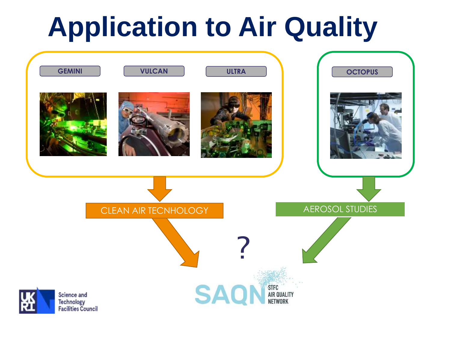### **Application to Air Quality**

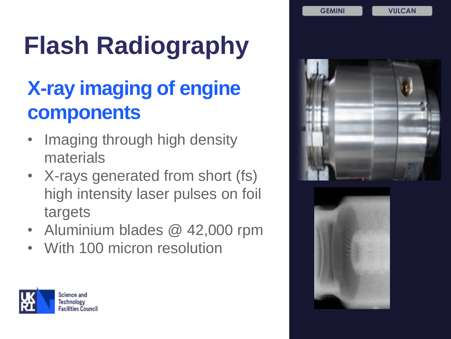## **Flash Radiography**

#### **X-ray imaging of engine components**

- Imaging through high density materials
- X-rays generated from short (fs) high intensity laser pulses on foil targets
- Aluminium blades @ 42,000 rpm
- With 100 micron resolution





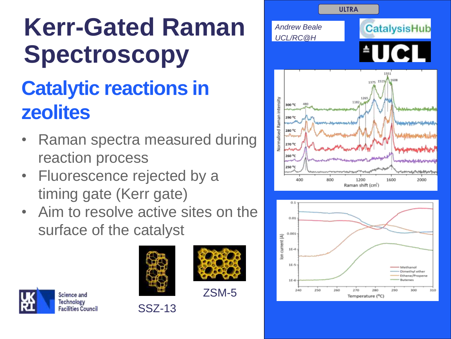# **Kerr-Gated Raman Spectroscopy**

### **Catalytic reactions in zeolites**

- Raman spectra measured during reaction process
- Fluorescence rejected by a timing gate (Kerr gate)
- Aim to resolve active sites on the surface of the catalyst









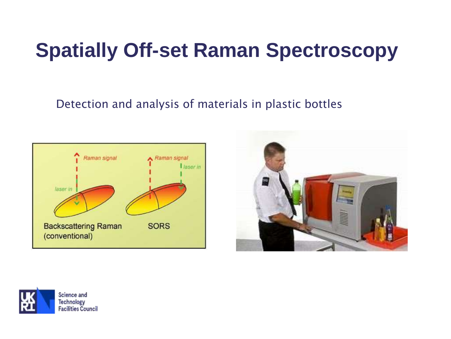#### **Spatially Off-set Raman Spectroscopy**

#### Detection and analysis of materials in plastic bottles





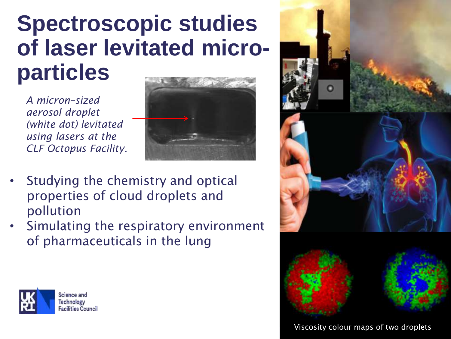### **Spectroscopic studies of laser levitated microparticles**

*A micron–sized aerosol droplet (white dot) levitated using lasers at the CLF Octopus Facility.* 



- Studying the chemistry and optical properties of cloud droplets and pollution
- Simulating the respiratory environment of pharmaceuticals in the lung



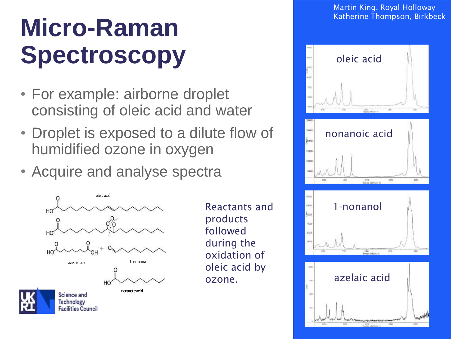### **Micro-Raman**  Spectroscopy **Spectroscopy Spectroscopy**

- For example: airborne droplet consisting of oleic acid and water
- Droplet is exposed to a dilute flow of humidified ozone in oxygen
- Acquire and analyse spectra



Reactants and products followed during the oxidation of oleic acid by ozone.

Martin King, Royal Holloway Katherine Thompson, Birkbeck